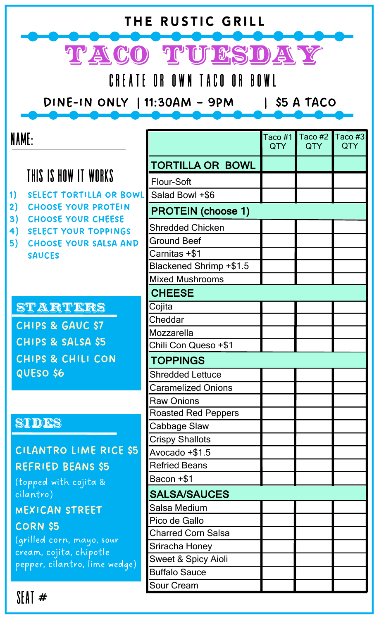| THE RUSTIC GRILL                                         |                                 |                |                       |                |
|----------------------------------------------------------|---------------------------------|----------------|-----------------------|----------------|
| TACO TUESDAY                                             |                                 |                |                       |                |
| CREATE OR OWN TACO OR BOWL                               |                                 |                |                       |                |
|                                                          |                                 |                |                       |                |
| DINE-IN ONLY   11:30AM - 9PM<br>$\frac{1}{5}$ \$5 A TACO |                                 |                |                       |                |
|                                                          |                                 |                |                       |                |
| NAME:                                                    |                                 | Taco #1<br>QTY | Taco #2<br><b>QTY</b> | Taco #3<br>QTY |
|                                                          | <b>TORTILLA OR BOWL</b>         |                |                       |                |
| THIS IS HOW IT WORKS                                     | Flour-Soft                      |                |                       |                |
| <b>SELECT TORTILLA OR BOWL</b><br>1)                     | Salad Bowl +\$6                 |                |                       |                |
| 2)<br><b>CHOOSE YOUR PROTEIN</b>                         | <b>PROTEIN (choose 1)</b>       |                |                       |                |
| 3)<br><b>CHOOSE YOUR CHEESE</b>                          | Shredded Chicken                |                |                       |                |
| 4)<br><b>SELECT YOUR TOPPINGS</b>                        | Ground Beef                     |                |                       |                |
| 5)<br><b>CHOOSE YOUR SALSA AND</b><br><b>SAUCES</b>      | Carnitas +\$1                   |                |                       |                |
|                                                          | Blackened Shrimp +\$1.5         |                |                       |                |
|                                                          | Mixed Mushrooms                 |                |                       |                |
|                                                          | <b>CHEESE</b>                   |                |                       |                |
| STARTERS                                                 | Cojita                          |                |                       |                |
| CHIPS & GAUC \$7                                         | Cheddar                         |                |                       |                |
|                                                          | Mozzarella                      |                |                       |                |
| CHIPS & SALSA \$5                                        | Chili Con Queso +\$1            |                |                       |                |
| <b>CHIPS &amp; CHILI CON</b>                             | <b>TOPPINGS</b>                 |                |                       |                |
| QUESO \$6                                                | <b>Shredded Lettuce</b>         |                |                       |                |
|                                                          | Caramelized Onions              |                |                       |                |
|                                                          | <b>Raw Onions</b>               |                |                       |                |
| SIDES                                                    | <b>Roasted Red Peppers</b>      |                |                       |                |
|                                                          | Cabbage Slaw                    |                |                       |                |
| <b>CILANTRO LIME RICE \$5</b>                            | Crispy Shallots                 |                |                       |                |
|                                                          | Avocado +\$1.5<br>Refried Beans |                |                       |                |
| REFRIED BEANS \$5                                        | Bacon +\$1                      |                |                       |                |
| (topped with cojita &                                    |                                 |                |                       |                |
| cilantro)                                                | <b>SALSA/SAUCES</b>             |                |                       |                |
| MEXICAN STREET                                           | Salsa Medium<br>Pico de Gallo   |                |                       |                |
| <b>CORN \$5</b>                                          | Charred Corn Salsa              |                |                       |                |
| (grilled corn, mayo, sour                                | Sriracha Honey                  |                |                       |                |
| cream, cojita, chipotle                                  | Sweet & Spicy Aioli             |                |                       |                |
| pepper, cilantro, lime wedge)                            | <b>Buffalo Sauce</b>            |                |                       |                |
|                                                          | Sour Cream                      |                |                       |                |
| SEAT #                                                   |                                 |                |                       |                |